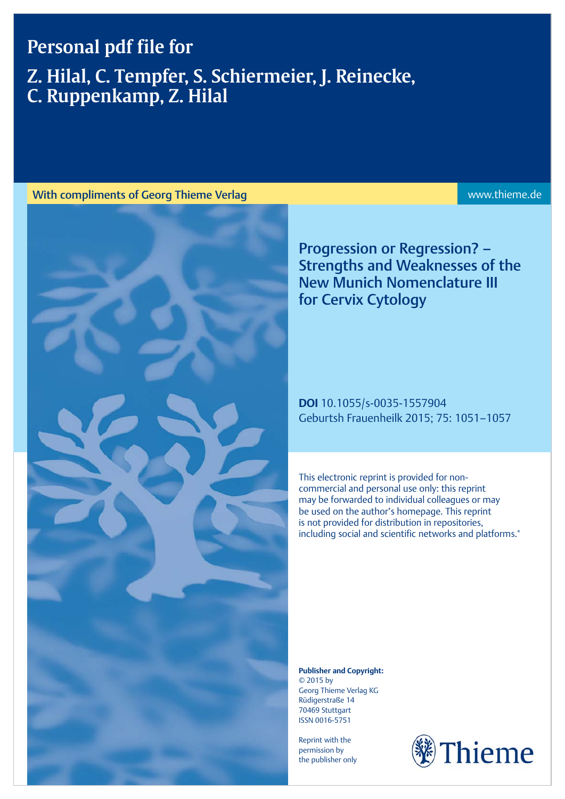## Personal pdf file for

# Z. Hilal, C. Tempfer, S. Schiermeier, J. Reinecke, C. Ruppenkamp, Z. Hilal



Progression or Regression? – Strengths and Weaknesses of the New Munich Nomenclature III for Cervix Cytology

DOI 10.1055/s-0035-1557904 Geburtsh Frauenheilk 2015; 75: 1051–1057

This electronic reprint is provided for noncommercial and personal use only: this reprint may be forwarded to individual colleagues or may be used on the author's homepage. This reprint is not provided for distribution in repositories, including social and scientific networks and platforms."

Publisher and Copyright: © 2015 by Georg Thieme Verlag KG Rüdigerstraße 14 70469 Stuttgart ISSN 0016‑5751

Reprint with the permission by the publisher only

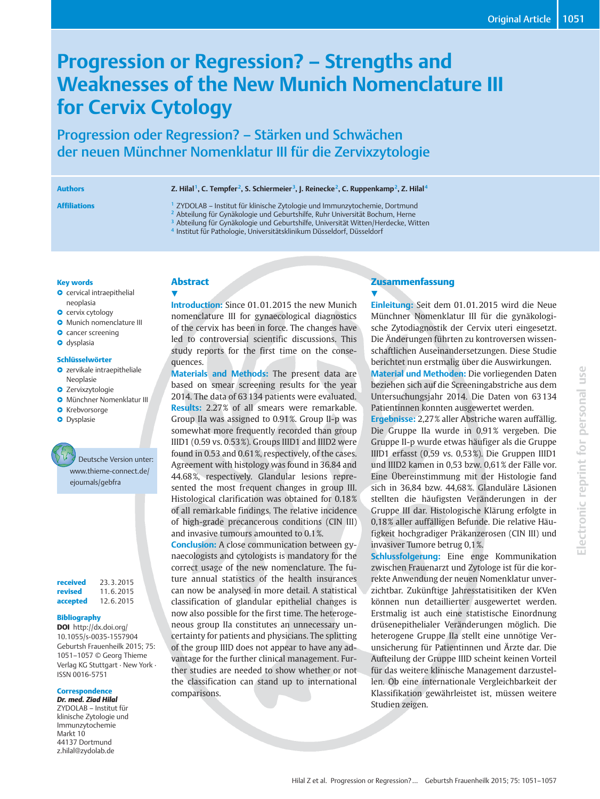## Progression or Regression? – Strengths and Weaknesses of the New Munich Nomenclature III for Cervix Cytology

Progression oder Regression? – Stärken und Schwächen der neuen Münchner Nomenklatur III für die Zervixzytologie

Authors **Z. Hilal<sup>1</sup>, C. Tempfer<sup>2</sup>, S. Schiermeier<sup>3</sup>, J. Reinecke<sup>2</sup>, C. Ruppenkamp<sup>2</sup>, Z. Hilal<sup>4</sup>** 

Affiliations <sup>1</sup> ZYDOLAB – Institut für klinische Zytologie und Immunzytochemie, Dortmund

<sup>2</sup> Abteilung für Gynäkologie und Geburtshilfe, Ruhr Universität Bochum, Herne

<sup>3</sup> Abteilung für Gynäkologie und Geburtshilfe, Universität Witten/Herdecke, Witten

<sup>4</sup> Institut für Pathologie, Universitätsklinikum Düsseldorf, Düsseldorf

#### Key words

- **O** cervical intraepithelial neoplasia
- **O** cervix cytology
- **O** Munich nomenclature III
- **O** cancer screening
- **O** dysplasia

#### Schlüsselwörter

- **O** zervikale intraepitheliale Neoplasie
- **O** Zervixzytologie
- **Münchner Nomenklatur III**
- **O** Krebvorsorge
- **O** Dysplasie



received 23. 3. 2015 revised 11. 6. 2015 accepted 12. 6. 2015

#### Bibliography

DOI http://dx.doi.org/ 10.1055/s-0035-1557904 Geburtsh Frauenheilk 2015; 75: 1051–1057 © Georg Thieme Verlag KG Stuttgart · New York · ISSN 0016‑5751

#### **Correspondence**

Dr. med. Ziad Hilal ZYDOLAB – Institut für klinische Zytologie und Immunzytochemie Markt 10 44137 Dortmund z.hilal@zydolab.de

## Abstract

 $\blacktriangledown$ 

Introduction: Since 01. 01. 2015 the new Munich nomenclature III for gynaecological diagnostics of the cervix has been in force. The changes have led to controversial scientific discussions. This study reports for the first time on the consequences.

Materials and Methods: The present data are based on smear screening results for the year 2014. The data of 63 134 patients were evaluated. Results: 2.27% of all smears were remarkable. Group IIa was assigned to 0.91%. Group II‑p was somewhat more frequently recorded than group IIID1 (0.59 vs. 0.53%). Groups IIID1 and IIID2 were found in 0.53 and 0.61%, respectively, of the cases. Agreement with histology was found in 36.84 and 44.68%, respectively. Glandular lesions represented the most frequent changes in group III. Histological clarification was obtained for 0.18% of all remarkable findings. The relative incidence of high-grade precancerous conditions (CIN III) and invasive tumours amounted to 0.1%.

Conclusion: A close communication between gynaecologists and cytologists is mandatory for the correct usage of the new nomenclature. The future annual statistics of the health insurances can now be analysed in more detail. A statistical classification of glandular epithelial changes is now also possible for the first time. The heterogeneous group IIa constitutes an unnecessary uncertainty for patients and physicians. The splitting of the group IIID does not appear to have any advantage for the further clinical management. Further studies are needed to show whether or not the classification can stand up to international comparisons.

### Zusammenfassung

 $\blacktriangledown$ Einleitung: Seit dem 01. 01. 2015 wird die Neue Münchner Nomenklatur III für die gynäkologische Zytodiagnostik der Cervix uteri eingesetzt. Die Änderungen führten zu kontroversen wissenschaftlichen Auseinandersetzungen. Diese Studie berichtet nun erstmalig über die Auswirkungen. Material und Methoden: Die vorliegenden Daten

beziehen sich auf die Screeningabstriche aus dem Untersuchungsjahr 2014. Die Daten von 63 134 Patientinnen konnten ausgewertet werden.

Ergebnisse: 2,27% aller Abstriche waren auffällig. Die Gruppe IIa wurde in 0,91% vergeben. Die Gruppe II‑p wurde etwas häufiger als die Gruppe IIID1 erfasst (0,59 vs. 0,53%). Die Gruppen IIID1 und IIID2 kamen in 0,53 bzw. 0,61% der Fälle vor. Eine Übereinstimmung mit der Histologie fand sich in 36,84 bzw. 44,68%. Glanduläre Läsionen stellten die häufigsten Veränderungen in der Gruppe III dar. Histologische Klärung erfolgte in 0,18% aller auffälligen Befunde. Die relative Häufigkeit hochgradiger Präkanzerosen (CIN III) und invasiver Tumore betrug 0,1%.

Schlussfolgerung: Eine enge Kommunikation zwischen Frauenarzt und Zytologe ist für die korrekte Anwendung der neuen Nomenklatur unverzichtbar. Zukünftige Jahresstatisitiken der KVen können nun detaillierter ausgewertet werden. Erstmalig ist auch eine statistische Einordnung drüsenepithelialer Veränderungen möglich. Die heterogene Gruppe IIa stellt eine unnötige Verunsicherung für Patientinnen und Ärzte dar. Die Aufteilung der Gruppe IIID scheint keinen Vorteil für das weitere klinische Management darzustellen. Ob eine internationale Vergleichbarkeit der Klassifikation gewährleistet ist, müssen weitere Studien zeigen.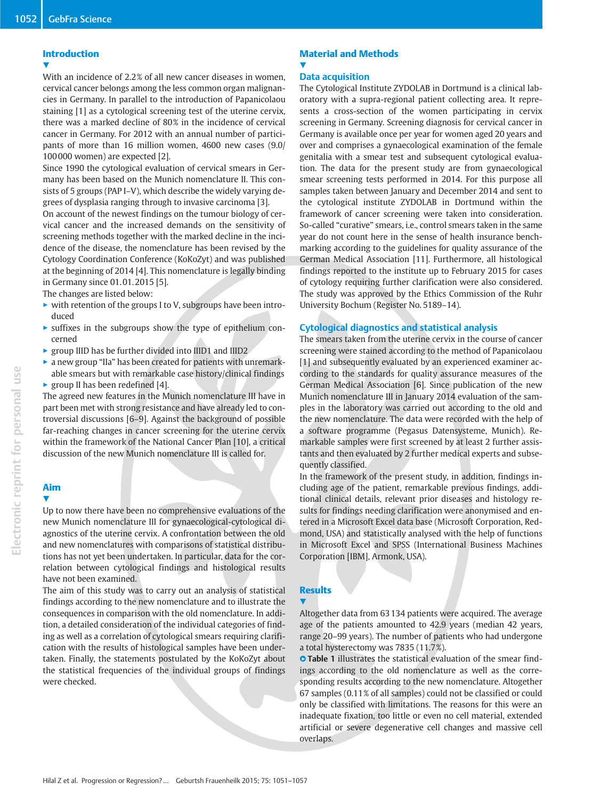### Introduction

v, With an incidence of 2.2% of all new cancer diseases in women, cervical cancer belongs among the less common organ malignancies in Germany. In parallel to the introduction of Papanicolaou staining [1] as a cytological screening test of the uterine cervix, there was a marked decline of 80% in the incidence of cervical cancer in Germany. For 2012 with an annual number of participants of more than 16 million women, 4600 new cases (9.0/ 100 000 women) are expected [2].

Since 1990 the cytological evaluation of cervical smears in Germany has been based on the Munich nomenclature II. This consists of 5 groups (PAP I–V), which describe the widely varying degrees of dysplasia ranging through to invasive carcinoma [3].

On account of the newest findings on the tumour biology of cervical cancer and the increased demands on the sensitivity of screening methods together with the marked decline in the incidence of the disease, the nomenclature has been revised by the Cytology Coordination Conference (KoKoZyt) and was published at the beginning of 2014 [4]. This nomenclature is legally binding in Germany since 01. 01. 2015 [5].

The changes are listed below:

- $\triangleright$  with retention of the groups I to V, subgroups have been introduced
- $\blacktriangleright$  suffixes in the subgroups show the type of epithelium concerned
- $\triangleright$  group IIID has be further divided into IIID1 and IIID2
- a new group "IIa" has been created for patients with unremarkable smears but with remarkable case history/clinical findings  $\triangleright$  group II has been redefined [4].

The agreed new features in the Munich nomenclature III have in part been met with strong resistance and have already led to controversial discussions [6–9]. Against the background of possible far-reaching changes in cancer screening for the uterine cervix within the framework of the National Cancer Plan [10], a critical discussion of the new Munich nomenclature III is called for.

## Aim

v, Up to now there have been no comprehensive evaluations of the new Munich nomenclature III for gynaecological-cytological diagnostics of the uterine cervix. A confrontation between the old and new nomenclatures with comparisons of statistical distributions has not yet been undertaken. In particular, data for the correlation between cytological findings and histological results have not been examined.

The aim of this study was to carry out an analysis of statistical findings according to the new nomenclature and to illustrate the consequences in comparison with the old nomenclature. In addition, a detailed consideration of the individual categories of finding as well as a correlation of cytological smears requiring clarification with the results of histological samples have been undertaken. Finally, the statements postulated by the KoKoZyt about the statistical frequencies of the individual groups of findings were checked.

### Material and Methods **V**

### Data acquisition

The Cytological Institute ZYDOLAB in Dortmund is a clinical laboratory with a supra-regional patient collecting area. It represents a cross-section of the women participating in cervix screening in Germany. Screening diagnosis for cervical cancer in Germany is available once per year for women aged 20 years and over and comprises a gynaecological examination of the female genitalia with a smear test and subsequent cytological evaluation. The data for the present study are from gynaecological smear screening tests performed in 2014. For this purpose all samples taken between January and December 2014 and sent to the cytological institute ZYDOLAB in Dortmund within the framework of cancer screening were taken into consideration. So-called "curative" smears, i.e., control smears taken in the same year do not count here in the sense of health insurance benchmarking according to the guidelines for quality assurance of the German Medical Association [11]. Furthermore, all histological findings reported to the institute up to February 2015 for cases of cytology requiring further clarification were also considered. The study was approved by the Ethics Commission of the Ruhr University Bochum (Register No. 5189–14).

### Cytological diagnostics and statistical analysis

The smears taken from the uterine cervix in the course of cancer screening were stained according to the method of Papanicolaou [1] and subsequently evaluated by an experienced examiner according to the standards for quality assurance measures of the German Medical Association [6]. Since publication of the new Munich nomenclature III in January 2014 evaluation of the samples in the laboratory was carried out according to the old and the new nomenclature. The data were recorded with the help of a software programme (Pegasus Datensysteme, Munich). Remarkable samples were first screened by at least 2 further assistants and then evaluated by 2 further medical experts and subsequently classified.

In the framework of the present study, in addition, findings including age of the patient, remarkable previous findings, additional clinical details, relevant prior diseases and histology results for findings needing clarification were anonymised and entered in a Microsoft Excel data base (Microsoft Corporation, Redmond, USA) and statistically analysed with the help of functions in Microsoft Excel and SPSS (International Business Machines Corporation [IBM], Armonk, USA).

### **Results**

**V** 

Altogether data from 63 134 patients were acquired. The average age of the patients amounted to 42.9 years (median 42 years, range 20–99 years). The number of patients who had undergone a total hysterectomy was 7835 (11.7%).

**• Table 1** illustrates the statistical evaluation of the smear findings according to the old nomenclature as well as the corresponding results according to the new nomenclature. Altogether 67 samples (0.11% of all samples) could not be classified or could only be classified with limitations. The reasons for this were an inadequate fixation, too little or even no cell material, extended artificial or severe degenerative cell changes and massive cell overlaps.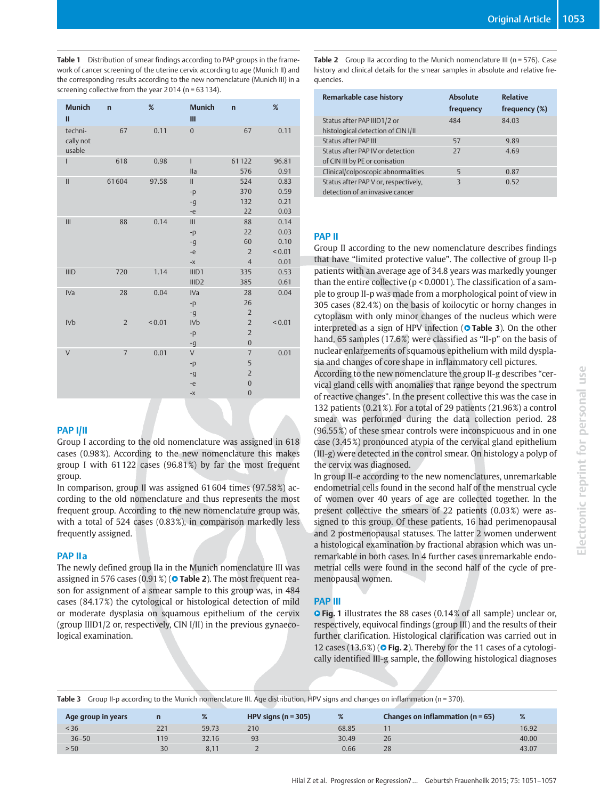Table 1 Distribution of smear findings according to PAP groups in the framework of cancer screening of the uterine cervix according to age (Munich II) and the corresponding results according to the new nomenclature (Munich III) in a screening collective from the year 2 014 (n = 63 134).

| <b>Munich</b><br>П             | $\overline{a}$ | %           | <b>Munich</b><br>Ш                                                      | $\overline{a}$                                                            | %                                           |
|--------------------------------|----------------|-------------|-------------------------------------------------------------------------|---------------------------------------------------------------------------|---------------------------------------------|
| techni-<br>cally not<br>usable | 67             | 0.11        | $\mathbf{0}$                                                            | 67                                                                        | 0.11                                        |
| Ī                              | 618            | 0.98        | $\mathsf{I}$<br>lla                                                     | 61122<br>576                                                              | 96.81<br>0.91                               |
| $\mathbf{II}$                  | 61604          | 97.58       | $\mathbf{II}$<br>$-p$<br>-g<br>-e                                       | 524<br>370<br>132<br>22                                                   | 0.83<br>0.59<br>0.21<br>0.03                |
| III                            | 88             | 0.14        | $\mathsf{III}$<br>$-p$<br>-g<br>-e<br>$-\chi$                           | 88<br>22<br>60<br>$\overline{2}$<br>$\overline{4}$                        | 0.14<br>0.03<br>0.10<br>${}_{0.01}$<br>0.01 |
| <b>IIID</b>                    | 720            | 1.14        | III <sub>D1</sub><br>IIID2                                              | 335<br>385                                                                | 0.53<br>0.61                                |
| <b>IVa</b>                     | 28             | 0.04        | <b>IVa</b><br>$-p$<br>-g                                                | 28<br>26<br>$\overline{2}$                                                | 0.04                                        |
| <b>IVb</b>                     | $\overline{2}$ | ${}_{0.01}$ | <b>IVb</b><br>$-p$<br>-g                                                | $\overline{2}$<br>$\overline{2}$<br>$\boldsymbol{0}$                      | < 0.01                                      |
| $\vee$                         | $\overline{7}$ | 0.01        | $\vee$<br>$-p$<br>-g<br>-e<br>$\mathord{\text{--}}\mathord{\mathsf{X}}$ | $\overline{7}$<br>5<br>$\overline{2}$<br>$\mathbf{0}$<br>$\boldsymbol{0}$ | 0.01                                        |

#### PAP I/II

Group I according to the old nomenclature was assigned in 618 cases (0.98%). According to the new nomenclature this makes group I with 61 122 cases (96.81%) by far the most frequent group.

In comparison, group II was assigned 61 604 times (97.58%) according to the old nomenclature and thus represents the most frequent group. According to the new nomenclature group was, with a total of 524 cases (0.83%), in comparison markedly less frequently assigned.

### PAP IIa

The newly defined group IIa in the Munich nomenclature III was assigned in 576 cases (0.91%) (**O Table 2**). The most frequent reason for assignment of a smear sample to this group was, in 484 cases (84.17%) the cytological or histological detection of mild or moderate dysplasia on squamous epithelium of the cervix (group IIID1/2 or, respectively, CIN I/II) in the previous gynaecological examination.

Table 2 Group IIa according to the Munich nomenclature III (n = 576). Case history and clinical details for the smear samples in absolute and relative frequencies.

| Remarkable case history                                                 | <b>Absolute</b><br>frequency | <b>Relative</b><br>frequency (%) |
|-------------------------------------------------------------------------|------------------------------|----------------------------------|
| Status after PAP IIID1/2 or<br>histological detection of CIN I/II       | 484                          | 84.03                            |
| <b>Status after PAP III</b>                                             | 57                           | 9.89                             |
| Status after PAP IV or detection<br>of CIN III by PE or conisation      | 27                           | 4.69                             |
| Clinical/colposcopic abnormalities                                      | 5                            | 0.87                             |
| Status after PAP V or, respectively,<br>detection of an invasive cancer | 3                            | 0.52                             |

#### PAP II

Group II according to the new nomenclature describes findings that have "limited protective value". The collective of group II‑p patients with an average age of 34.8 years was markedly younger than the entire collective (p < 0.0001). The classification of a sample to group II‑p was made from a morphological point of view in 305 cases (82.4%) on the basis of koilocytic or horny changes in cytoplasm with only minor changes of the nucleus which were interpreted as a sign of HPV infection ( $\circ$  Table 3). On the other hand, 65 samples (17.6%) were classified as "II-p" on the basis of nuclear enlargements of squamous epithelium with mild dysplasia and changes of core shape in inflammatory cell pictures.

According to the new nomenclature the group II‑g describes "cervical gland cells with anomalies that range beyond the spectrum of reactive changes". In the present collective this was the case in 132 patients (0.21%). For a total of 29 patients (21.96%) a control smear was performed during the data collection period. 28 (96.55%) of these smear controls were inconspicuous and in one case (3.45%) pronounced atypia of the cervical gland epithelium (III‑g) were detected in the control smear. On histology a polyp of the cervix was diagnosed.

In group II‑e according to the new nomenclatures, unremarkable endometrial cells found in the second half of the menstrual cycle of women over 40 years of age are collected together. In the present collective the smears of 22 patients (0.03%) were assigned to this group. Of these patients, 16 had perimenopausal and 2 postmenopausal statuses. The latter 2 women underwent a histological examination by fractional abrasion which was unremarkable in both cases. In 4 further cases unremarkable endometrial cells were found in the second half of the cycle of premenopausal women.

#### PAP III

**• Fig. 1** illustrates the 88 cases (0.14% of all sample) unclear or, respectively, equivocal findings (group III) and the results of their further clarification. Histological clarification was carried out in 12 cases  $(13.6\%)$  ( $\circ$  Fig. 2). Thereby for the 11 cases of a cytologically identified III‑g sample, the following histological diagnoses

Table 3 Group II-p according to the Munich nomenclature III. Age distribution, HPV signs and changes on inflammation (n = 370).

| Age group in years |     | %             | HPV signs ( $n = 305$ ) | %     | Changes on inflammation ( $n = 65$ ) | %     |
|--------------------|-----|---------------|-------------------------|-------|--------------------------------------|-------|
| < 36               | 221 | 59.73         | 210                     | 68.85 |                                      | 16.92 |
| $36 - 50$          | 119 | 32.16         | 93                      | 30.49 | 26                                   | 40.00 |
| > 50               | 30  | $8.1^{\circ}$ |                         | 0.66  | 28                                   | 43.07 |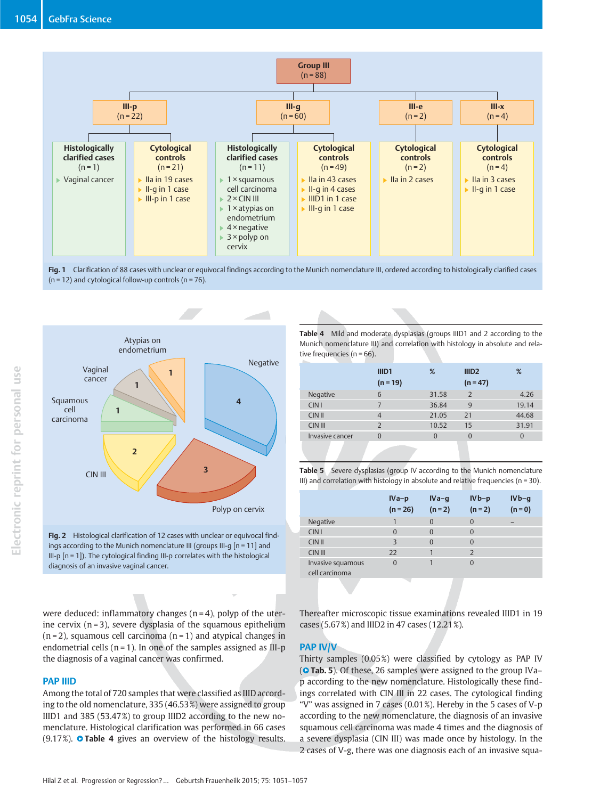

Fig. 1 Clarification of 88 cases with unclear or equivocal findings according to the Munich nomenclature III, ordered according to histologically clarified cases  $(n = 12)$  and cytological follow-up controls  $(n = 76)$ .



Fig. 2 Histological clarification of 12 cases with unclear or equivocal findings according to the Munich nomenclature III (groups III-g [n = 11] and III‑p [n = 1]). The cytological finding III‑p correlates with the histological diagnosis of an invasive vaginal cancer.

Table 4 Mild and moderate dysplasias (groups IIID1 and 2 according to the Munich nomenclature III) and correlation with histology in absolute and relative frequencies ( $n = 66$ ).

|                 | IIID <sub>1</sub> | %              | III <sub>D2</sub> | %        |
|-----------------|-------------------|----------------|-------------------|----------|
|                 | $(n = 19)$        |                | $(n = 47)$        |          |
| Negative        | 6                 | 31.58          | $\overline{2}$    | 4.26     |
| <b>CIN I</b>    | 7                 | 36.84          | 9                 | 19.14    |
| <b>CIN II</b>   | $\overline{4}$    | 21.05          | 21                | 44.68    |
| CIN III         | $\overline{2}$    | 10.52          | 15                | 31.91    |
| Invasive cancer | $\Omega$          | $\overline{0}$ | $\Omega$          | $\Omega$ |
|                 |                   |                |                   |          |

Table 5 Severe dysplasias (group IV according to the Munich nomenclature III) and correlation with histology in absolute and relative frequencies ( $n = 30$ ).

|                                     | $IVa-p$<br>$(n = 26)$ | $IVA-q$<br>$(n = 2)$ | $IVb-p$<br>$(n = 2)$ | $IVB-q$<br>$(n = 0)$ |
|-------------------------------------|-----------------------|----------------------|----------------------|----------------------|
| Negative                            |                       | $\Omega$             | $\Omega$             | -                    |
| CIN <sub>1</sub>                    | $\Omega$              | $\Omega$             | $\Omega$             |                      |
| <b>CIN II</b>                       | $\overline{3}$        | $\Omega$             | $\Omega$             |                      |
| <b>CIN III</b>                      | 22                    |                      |                      |                      |
| Invasive squamous<br>cell carcinoma | $\Omega$              |                      | $\Omega$             |                      |

were deduced: inflammatory changes (n = 4), polyp of the uterine cervix  $(n=3)$ , severe dysplasia of the squamous epithelium  $(n=2)$ , squamous cell carcinoma  $(n=1)$  and atypical changes in endometrial cells  $(n = 1)$ . In one of the samples assigned as III-p the diagnosis of a vaginal cancer was confirmed.

#### PAP IIID

Among the total of 720 samples that were classified as IIID according to the old nomenclature, 335 (46.53%) were assigned to group IIID1 and 385 (53.47%) to group IIID2 according to the new nomenclature. Histological clarification was performed in 66 cases  $(9.17\%)$ . **O Table 4** gives an overview of the histology results.

Thereafter microscopic tissue examinations revealed IIID1 in 19 cases (5.67%) and IIID2 in 47 cases (12.21%).

#### PAP IV/V

Thirty samples (0.05%) were classified by cytology as PAP IV (**O Tab. 5**). Of these, 26 samples were assigned to the group IVa– p according to the new nomenclature. Histologically these findings correlated with CIN III in 22 cases. The cytological finding "V" was assigned in 7 cases (0.01%). Hereby in the 5 cases of V‑p according to the new nomenclature, the diagnosis of an invasive squamous cell carcinoma was made 4 times and the diagnosis of a severe dysplasia (CIN III) was made once by histology. In the 2 cases of V‑g, there was one diagnosis each of an invasive squa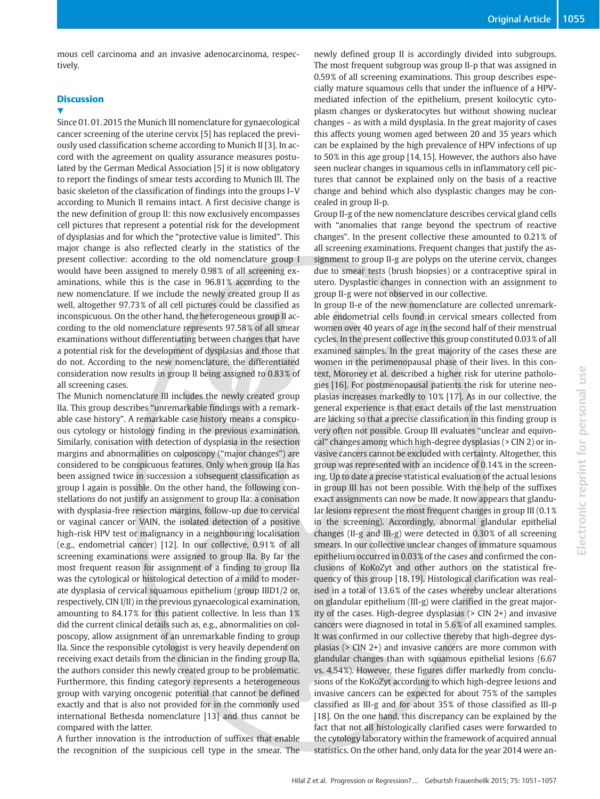mous cell carcinoma and an invasive adenocarcinoma, respectively.

#### **Discussion**

#### V,

Since 01. 01. 2015 the Munich III nomenclature for gynaecological cancer screening of the uterine cervix [5] has replaced the previously used classification scheme according to Munich II [3]. In accord with the agreement on quality assurance measures postulated by the German Medical Association [5] it is now obligatory to report the findings of smear tests according to Munich III. The basic skeleton of the classification of findings into the groups I–V according to Munich II remains intact. A first decisive change is the new definition of group II: this now exclusively encompasses cell pictures that represent a potential risk for the development of dysplasias and for which the "protective value is limited". This major change is also reflected clearly in the statistics of the present collective: according to the old nomenclature group I would have been assigned to merely 0.98% of all screening examinations, while this is the case in 96.81% according to the new nomenclature. If we include the newly created group II as well, altogether 97.73% of all cell pictures could be classified as inconspicuous. On the other hand, the heterogeneous group II according to the old nomenclature represents 97.58% of all smear examinations without differentiating between changes that have a potential risk for the development of dysplasias and those that do not. According to the new nomenclature, the differentiated consideration now results in group II being assigned to 0.83% of all screening cases.

The Munich nomenclature III includes the newly created group IIa. This group describes "unremarkable findings with a remarkable case history". A remarkable case history means a conspicuous cytology or histology finding in the previous examination. Similarly, conisation with detection of dysplasia in the resection margins and abnormalities on colposcopy ("major changes") are considered to be conspicuous features. Only when group IIa has been assigned twice in succession a subsequent classification as group I again is possible. On the other hand, the following constellations do not justify an assignment to group IIa: a conisation with dysplasia-free resection margins, follow-up due to cervical or vaginal cancer or VAIN, the isolated detection of a positive high-risk HPV test or malignancy in a neighbouring localisation (e.g., endometrial cancer) [12]. In our collective, 0.91% of all screening examinations were assigned to group IIa. By far the most frequent reason for assignment of a finding to group IIa was the cytological or histological detection of a mild to moderate dysplasia of cervical squamous epithelium (group IIID1/2 or, respectively, CIN I/II) in the previous gynaecological examination, amounting to 84.17% for this patient collective. In less than 1% did the current clinical details such as, e.g., abnormalities on colposcopy, allow assignment of an unremarkable finding to group IIa. Since the responsible cytologist is very heavily dependent on receiving exact details from the clinician in the finding group IIa, the authors consider this newly created group to be problematic. Furthermore, this finding category represents a heterogeneous group with varying oncogenic potential that cannot be defined exactly and that is also not provided for in the commonly used international Bethesda nomenclature [13] and thus cannot be compared with the latter.

A further innovation is the introduction of suffixes that enable the recognition of the suspicious cell type in the smear. The newly defined group II is accordingly divided into subgroups. The most frequent subgroup was group II‑p that was assigned in 0.59% of all screening examinations. This group describes especially mature squamous cells that under the influence of a HPVmediated infection of the epithelium, present koilocytic cytoplasm changes or dyskeratocytes but without showing nuclear changes – as with a mild dysplasia. In the great majority of cases this affects young women aged between 20 and 35 years which can be explained by the high prevalence of HPV infections of up to 50% in this age group [14, 15]. However, the authors also have seen nuclear changes in squamous cells in inflammatory cell pictures that cannot be explained only on the basis of a reactive change and behind which also dysplastic changes may be concealed in group II‑p.

Group II‑g of the new nomenclature describes cervical gland cells with "anomalies that range beyond the spectrum of reactive changes". In the present collective these amounted to 0.21% of all screening examinations. Frequent changes that justify the assignment to group II‑g are polyps on the uterine cervix, changes due to smear tests (brush biopsies) or a contraceptive spiral in utero. Dysplastic changes in connection with an assignment to group II‑g were not observed in our collective.

In group II‑e of the new nomenclature are collected unremarkable endometrial cells found in cervical smears collected from women over 40 years of age in the second half of their menstrual cycles. In the present collective this group constituted 0.03% of all examined samples. In the great majority of the cases these are women in the perimenopausal phase of their lives. In this context, Moroney et al. described a higher risk for uterine pathologies [16]. For postmenopausal patients the risk for uterine neoplasias increases markedly to 10% [17]. As in our collective, the general experience is that exact details of the last menstruation are lacking so that a precise classification in this finding group is very often not possible. Group III evaluates "unclear and equivocal" changes among which high-degree dysplasias (> CIN 2) or invasive cancers cannot be excluded with certainty. Altogether, this group was represented with an incidence of 0.14% in the screening. Up to date a precise statistical evaluation of the actual lesions in group III has not been possible. With the help of the suffixes exact assignments can now be made. It now appears that glandular lesions represent the most frequent changes in group III (0.1% in the screening). Accordingly, abnormal glandular epithelial changes (II‑g and III‑g) were detected in 0.30% of all screening smears. In our collective unclear changes of immature squamous epithelium occurred in 0.03% of the cases and confirmed the conclusions of KoKoZyt and other authors on the statistical frequency of this group [18, 19]. Histological clarification was realised in a total of 13.6% of the cases whereby unclear alterations on glandular epithelium (III‑g) were clarified in the great majority of the cases. High-degree dysplasias (> CIN 2+) and invasive cancers were diagnosed in total in 5.6% of all examined samples. It was confirmed in our collective thereby that high-degree dysplasias (> CIN 2+) and invasive cancers are more common with glandular changes than with squamous epithelial lesions (6.67 vs. 4.54%). However, these figures differ markedly from conclusions of the KoKoZyt according to which high-degree lesions and invasive cancers can be expected for about 75% of the samples classified as III‑g and for about 35% of those classified as III‑p [18]. On the one hand, this discrepancy can be explained by the fact that not all histologically clarified cases were forwarded to the cytology laboratory within the framework of acquired annual statistics. On the other hand, only data for the year 2014 were an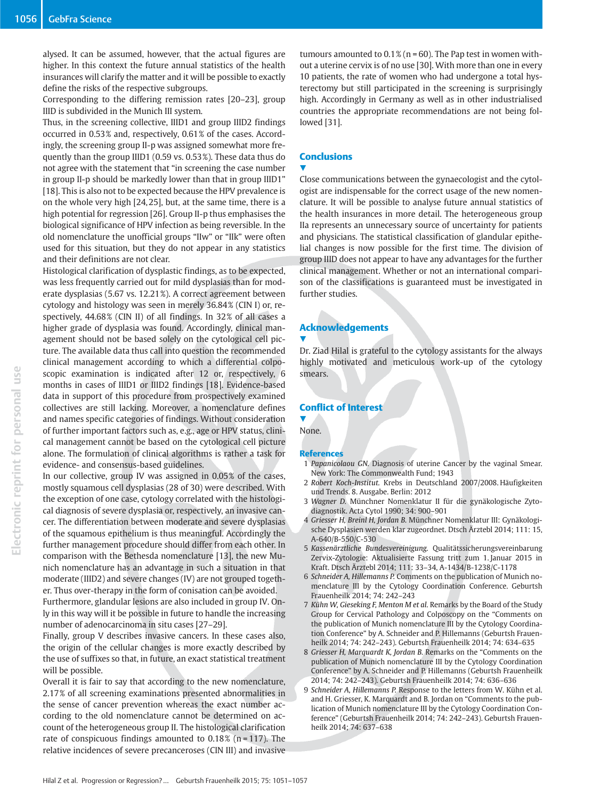alysed. It can be assumed, however, that the actual figures are higher. In this context the future annual statistics of the health insurances will clarify the matter and it will be possible to exactly define the risks of the respective subgroups.

Corresponding to the differing remission rates [20–23], group IIID is subdivided in the Munich III system.

Thus, in the screening collective, IIID1 and group IIID2 findings occurred in 0.53% and, respectively, 0.61% of the cases. Accordingly, the screening group II-p was assigned somewhat more frequently than the group IIID1 (0.59 vs. 0.53%). These data thus do not agree with the statement that "in screening the case number in group II‑p should be markedly lower than that in group IIID1" [18]. This is also not to be expected because the HPV prevalence is on the whole very high [24, 25], but, at the same time, there is a high potential for regression [26]. Group II‑p thus emphasises the biological significance of HPV infection as being reversible. In the old nomenclature the unofficial groups "IIw" or "IIk" were often used for this situation, but they do not appear in any statistics and their definitions are not clear.

Histological clarification of dysplastic findings, as to be expected, was less frequently carried out for mild dysplasias than for moderate dysplasias (5.67 vs. 12.21%). A correct agreement between cytology and histology was seen in merely 36.84% (CIN I) or, respectively, 44.68% (CIN II) of all findings. In 32% of all cases a higher grade of dysplasia was found. Accordingly, clinical management should not be based solely on the cytological cell picture. The available data thus call into question the recommended clinical management according to which a differential colposcopic examination is indicated after 12 or, respectively, 6 months in cases of IIID1 or IIID2 findings [18]. Evidence-based data in support of this procedure from prospectively examined collectives are still lacking. Moreover, a nomenclature defines and names specific categories of findings. Without consideration of further important factors such as, e.g., age or HPV status, clinical management cannot be based on the cytological cell picture alone. The formulation of clinical algorithms is rather a task for evidence- and consensus-based guidelines.

In our collective, group IV was assigned in 0.05% of the cases, mostly squamous cell dysplasias (28 of 30) were described. With the exception of one case, cytology correlated with the histological diagnosis of severe dysplasia or, respectively, an invasive cancer. The differentiation between moderate and severe dysplasias of the squamous epithelium is thus meaningful. Accordingly the further management procedure should differ from each other. In comparison with the Bethesda nomenclature [13], the new Munich nomenclature has an advantage in such a situation in that moderate (IIID2) and severe changes (IV) are not grouped together. Thus over-therapy in the form of conisation can be avoided.

Furthermore, glandular lesions are also included in group IV. Only in this way will it be possible in future to handle the increasing number of adenocarcinoma in situ cases [27–29].

Finally, group V describes invasive cancers. In these cases also, the origin of the cellular changes is more exactly described by the use of suffixes so that, in future, an exact statistical treatment will be possible.

Overall it is fair to say that according to the new nomenclature, 2.17% of all screening examinations presented abnormalities in the sense of cancer prevention whereas the exact number according to the old nomenclature cannot be determined on account of the heterogeneous group II. The histological clarification rate of conspicuous findings amounted to  $0.18\%$  (n = 117). The relative incidences of severe precanceroses (CIN III) and invasive

tumours amounted to  $0.1\%$  (n = 60). The Pap test in women without a uterine cervix is of no use [30]. With more than one in every 10 patients, the rate of women who had undergone a total hysterectomy but still participated in the screening is surprisingly high. Accordingly in Germany as well as in other industrialised countries the appropriate recommendations are not being followed [31].

### **Conclusions**

**V** 

Close communications between the gynaecologist and the cytologist are indispensable for the correct usage of the new nomenclature. It will be possible to analyse future annual statistics of the health insurances in more detail. The heterogeneous group IIa represents an unnecessary source of uncertainty for patients and physicians. The statistical classification of glandular epithelial changes is now possible for the first time. The division of group IIID does not appear to have any advantages for the further clinical management. Whether or not an international comparison of the classifications is guaranteed must be investigated in further studies.

### Acknowledgements

 $\blacktriangledown$ 

Dr. Ziad Hilal is grateful to the cytology assistants for the always highly motivated and meticulous work-up of the cytology smears.

### Conflict of Interest

**V** None.

#### References

- 1 Papanicolaou GN. Diagnosis of uterine Cancer by the vaginal Smear. New York: The Commonwealth Fund; 1943
- 2 Robert Koch-Institut. Krebs in Deutschland 2007/2008. Häufigkeiten und Trends. 8. Ausgabe. Berlin: 2012
- 3 Wagner D. Münchner Nomenklatur II für die gynäkologische Zytodiagnostik. Acta Cytol 1990; 34: 900–901
- 4 Griesser H, Breinl H, Jordan B. Münchner Nomenklatur III: Gynäkologische Dysplasien werden klar zugeordnet. Dtsch Ärztebl 2014; 111: 15, A‑640/B‑550/C‑530
- 5 Kassenärztliche Bundesvereinigung. Qualitätssicherungsvereinbarung Zervix-Zytologie: Aktualisierte Fassung tritt zum 1. Januar 2015 in Kraft. Dtsch Ärztebl 2014; 111: 33–34, A-1434/B-1238/C-1178
- 6 Schneider A, Hillemanns P. Comments on the publication of Munich nomenclature III by the Cytology Coordination Conference. Geburtsh Frauenheilk 2014; 74: 242–243
- 7 Kühn W, Gieseking F, Menton M et al. Remarks by the Board of the Study Group for Cervical Pathology and Colposcopy on the "Comments on the publication of Munich nomenclature III by the Cytology Coordination Conference" by A. Schneider and P. Hillemanns (Geburtsh Frauenheilk 2014; 74: 242–243). Geburtsh Frauenheilk 2014; 74: 634–635
- 8 Griesser H, Marquardt K, Jordan B. Remarks on the "Comments on the publication of Munich nomenclature III by the Cytology Coordination Conference" by A. Schneider and P. Hillemanns (Geburtsh Frauenheilk 2014; 74: 242–243). Geburtsh Frauenheilk 2014; 74: 636–636
- 9 Schneider A, Hillemanns P. Response to the letters from W. Kühn et al. and H. Griesser, K. Marquardt and B. Jordan on "Comments to the publication of Munich nomenclature III by the Cytology Coordination Conference" (Geburtsh Frauenheilk 2014; 74: 242–243). Geburtsh Frauenheilk 2014; 74: 637–638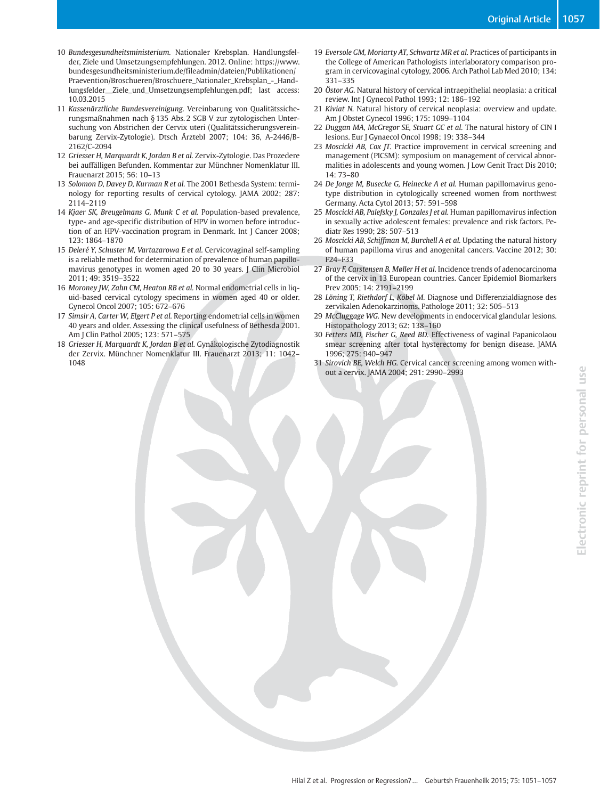- 10 Bundesgesundheitsministerium. Nationaler Krebsplan. Handlungsfelder, Ziele und Umsetzungsempfehlungen. 2012. Online: https://www. bundesgesundheitsministerium.de/fileadmin/dateien/Publikationen/ Praevention/Broschueren/Broschuere\_Nationaler\_Krebsplan\_-\_Handlungsfelder\_\_Ziele\_und\_Umsetzungsempfehlungen.pdf; last access: 10.03.2015
- 11 Kassenärztliche Bundesvereinigung. Vereinbarung von Qualitätssicherungsmaßnahmen nach § 135 Abs. 2 SGB V zur zytologischen Untersuchung von Abstrichen der Cervix uteri (Qualitätssicherungsvereinbarung Zervix-Zytologie). Dtsch Ärztebl 2007; 104: 36, A-2446/B-2162/C-2094
- 12 Griesser H, Marquardt K, Jordan B et al. Zervix-Zytologie. Das Prozedere bei auffälligen Befunden. Kommentar zur Münchner Nomenklatur III. Frauenarzt 2015; 56: 10–13
- 13 Solomon D, Davey D, Kurman R et al. The 2001 Bethesda System: terminology for reporting results of cervical cytology. JAMA 2002; 287: 2114–2119
- 14 Kjaer SK, Breugelmans G, Munk C et al. Population-based prevalence, type- and age-specific distribution of HPV in women before introduction of an HPV-vaccination program in Denmark. Int J Cancer 2008; 123: 1864–1870
- 15 Deleré Y, Schuster M, Vartazarowa E et al. Cervicovaginal self-sampling is a reliable method for determination of prevalence of human papillomavirus genotypes in women aged 20 to 30 years. J Clin Microbiol 2011; 49: 3519–3522
- 16 Moroney JW, Zahn CM, Heaton RB et al. Normal endometrial cells in liquid-based cervical cytology specimens in women aged 40 or older. Gynecol Oncol 2007; 105: 672–676
- 17 Simsir A, Carter W, Elgert P et al. Reporting endometrial cells in women 40 years and older. Assessing the clinical usefulness of Bethesda 2001. Am J Clin Pathol 2005; 123: 571–575
- 18 Griesser H, Marquardt K, Jordan B et al. Gynäkologische Zytodiagnostik der Zervix. Münchner Nomenklatur III. Frauenarzt 2013; 11: 1042– 1048
- 19 Eversole GM, Moriarty AT, Schwartz MR et al. Practices of participants in the College of American Pathologists interlaboratory comparison program in cervicovaginal cytology, 2006. Arch Pathol Lab Med 2010; 134: 331–335
- 20 Östor AG. Natural history of cervical intraepithelial neoplasia: a critical review. Int J Gynecol Pathol 1993; 12: 186–192
- 21 Kiviat N. Natural history of cervical neoplasia: overview and update. Am J Obstet Gynecol 1996; 175: 1099–1104
- 22 Duggan MA, McGregor SE, Stuart GC et al. The natural history of CIN I lesions. Eur J Gynaecol Oncol 1998; 19: 338–344
- 23 Moscicki AB, Cox JT. Practice improvement in cervical screening and management (PICSM): symposium on management of cervical abnormalities in adolescents and young women. J Low Genit Tract Dis 2010; 14: 73–80
- 24 De Jonge M, Busecke G, Heinecke A et al. Human papillomavirus genotype distribution in cytologically screened women from northwest Germany. Acta Cytol 2013; 57: 591–598
- 25 Moscicki AB, Palefsky J, Gonzales J et al. Human papillomavirus infection in sexually active adolescent females: prevalence and risk factors. Pediatr Res 1990; 28: 507–513
- 26 Moscicki AB, Schiffman M, Burchell A et al. Updating the natural history of human papilloma virus and anogenital cancers. Vaccine 2012; 30: F24–F33
- 27 Bray F, Carstensen B, Møller H et al. Incidence trends of adenocarcinoma of the cervix in 13 European countries. Cancer Epidemiol Biomarkers Prev 2005; 14: 2191–2199
- 28 Löning T, Riethdorf L, Köbel M. Diagnose und Differenzialdiagnose des zervikalen Adenokarzinoms. Pathologe 2011; 32: 505–513
- 29 McCluggage WG. New developments in endocervical glandular lesions. Histopathology 2013; 62: 138–160
- 30 Fetters MD, Fischer G, Reed BD. Effectiveness of vaginal Papanicolaou smear screening after total hysterectomy for benign disease. JAMA 1996; 275: 940–947
- 31 Sirovich BE, Welch HG. Cervical cancer screening among women without a cervix. JAMA 2004; 291: 2990–2993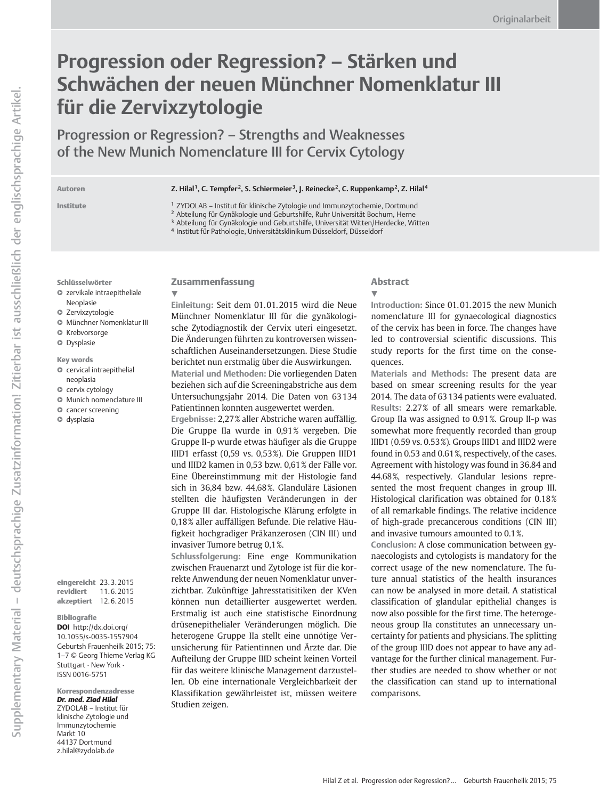# Progression oder Regression? – Stärken und Schwächen der neuen Münchner Nomenklatur III für die Zervixzytologie

Progression or Regression? – Strengths and Weaknesses of the New Munich Nomenclature III for Cervix Cytology

#### Autoren Z. Hilal<sup>1</sup>, C. Tempfer<sup>2</sup>, S. Schiermeier<sup>3</sup>, J. Reinecke<sup>2</sup>, C. Ruppenkamp<sup>2</sup>, Z. Hilal<sup>4</sup>

Institute <sup>1</sup> ZYDOLAB – Institut für klinische Zytologie und Immunzytochemie, Dortmund

<sup>2</sup> Abteilung für Gynäkologie und Geburtshilfe, Ruhr Universität Bochum, Herne

<sup>3</sup> Abteilung für Gynäkologie und Geburtshilfe, Universität Witten/Herdecke, Witten

<sup>4</sup> Institut für Pathologie, Universitätsklinikum Düsseldorf, Düsseldorf

Schlüsselwörter

l " zervikale intraepitheliale

Neoplasie

- **O** Zervixzytologie
- $\bullet$  Münchner Nomenklatur III
- $\bullet$  Krebvorsorge
- **<sup>O</sup>** Dysplasie

#### Key words

- $\bullet$  cervical intraepithelial neoplasia
- $\bullet$  cervix cytology
- $\bullet$  Munich nomenclature III
- **Q** cancer screening
- **O** dysplasia

eingereicht 23. 3. 2015 revidiert 11. 6. 2015 akzeptiert 12. 6. 2015

#### Bibliografie

DOI http://dx.doi.org/ 10.1055/s-0035-1557904 Geburtsh Frauenheilk 2015; 75: 1–7 © Georg Thieme Verlag KG Stuttgart · New York · ISSN 0016‑5751

Korrespondenzadresse Dr. med. Ziad Hilal ZYDOLAB – Institut für klinische Zytologie und Immunzytochemie Markt 10 44137 Dortmund z.hilal@zydolab.de

### Zusammenfassung

 $\blacktriangledown$ 

Einleitung: Seit dem 01. 01. 2015 wird die Neue Münchner Nomenklatur III für die gynäkologische Zytodiagnostik der Cervix uteri eingesetzt. Die Änderungen führten zu kontroversen wissenschaftlichen Auseinandersetzungen. Diese Studie berichtet nun erstmalig über die Auswirkungen. Material und Methoden: Die vorliegenden Daten beziehen sich auf die Screeningabstriche aus dem Untersuchungsjahr 2014. Die Daten von 63 134 Patientinnen konnten ausgewertet werden.

Ergebnisse: 2,27% aller Abstriche waren auffällig. Die Gruppe IIa wurde in 0,91% vergeben. Die Gruppe II‑p wurde etwas häufiger als die Gruppe IIID1 erfasst (0,59 vs. 0,53%). Die Gruppen IIID1 und IIID2 kamen in 0,53 bzw. 0,61% der Fälle vor. Eine Übereinstimmung mit der Histologie fand sich in 36,84 bzw. 44,68%. Glanduläre Läsionen stellten die häufigsten Veränderungen in der Gruppe III dar. Histologische Klärung erfolgte in 0,18% aller auffälligen Befunde. Die relative Häufigkeit hochgradiger Präkanzerosen (CIN III) und invasiver Tumore betrug 0,1%.

Schlussfolgerung: Eine enge Kommunikation zwischen Frauenarzt und Zytologe ist für die korrekte Anwendung der neuen Nomenklatur unverzichtbar. Zukünftige Jahresstatisitiken der KVen können nun detaillierter ausgewertet werden. Erstmalig ist auch eine statistische Einordnung drüsenepithelialer Veränderungen möglich. Die heterogene Gruppe IIa stellt eine unnötige Verunsicherung für Patientinnen und Ärzte dar. Die Aufteilung der Gruppe IIID scheint keinen Vorteil für das weitere klinische Management darzustellen. Ob eine internationale Vergleichbarkeit der Klassifikation gewährleistet ist, müssen weitere Studien zeigen.

### Abstract

#### $\blacktriangledown$

Introduction: Since 01. 01. 2015 the new Munich nomenclature III for gynaecological diagnostics of the cervix has been in force. The changes have led to controversial scientific discussions. This study reports for the first time on the consequences.

Materials and Methods: The present data are based on smear screening results for the year 2014. The data of 63 134 patients were evaluated. Results: 2.27% of all smears were remarkable. Group IIa was assigned to 0.91%. Group II‑p was somewhat more frequently recorded than group IIID1 (0.59 vs. 0.53%). Groups IIID1 and IIID2 were found in 0.53 and 0.61%, respectively, of the cases. Agreement with histology was found in 36.84 and 44.68%, respectively. Glandular lesions represented the most frequent changes in group III. Histological clarification was obtained for 0.18% of all remarkable findings. The relative incidence of high-grade precancerous conditions (CIN III) and invasive tumours amounted to 0.1%.

Conclusion: A close communication between gynaecologists and cytologists is mandatory for the correct usage of the new nomenclature. The future annual statistics of the health insurances can now be analysed in more detail. A statistical classification of glandular epithelial changes is now also possible for the first time. The heterogeneous group IIa constitutes an unnecessary uncertainty for patients and physicians. The splitting of the group IIID does not appear to have any advantage for the further clinical management. Further studies are needed to show whether or not the classification can stand up to international comparisons.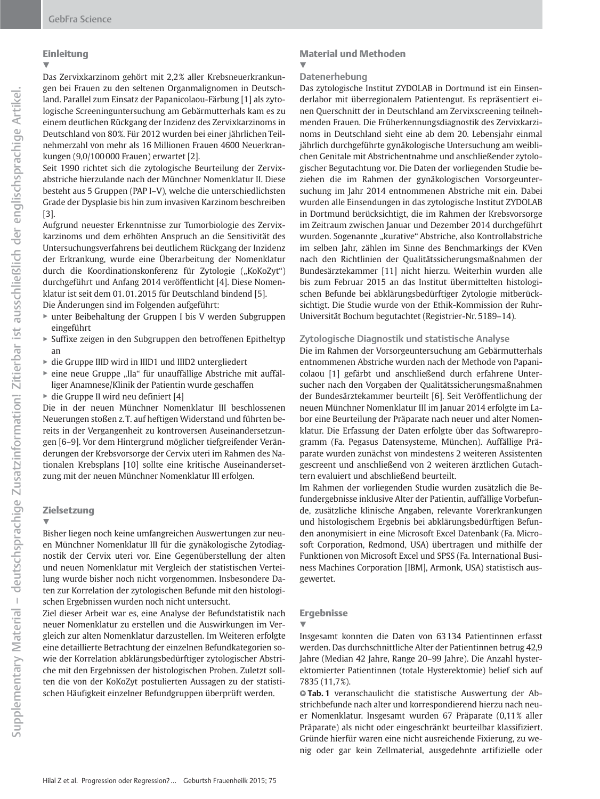### Einleitung

 $\blacktriangledown$ Das Zervixkarzinom gehört mit 2,2% aller Krebsneuerkrankungen bei Frauen zu den seltenen Organmalignomen in Deutschland. Parallel zum Einsatz der Papanicolaou-Färbung [1] als zytologische Screeninguntersuchung am Gebärmutterhals kam es zu einem deutlichen Rückgang der Inzidenz des Zervixkarzinoms in Deutschland von 80%. Für 2012 wurden bei einer jährlichen Teilnehmerzahl von mehr als 16 Millionen Frauen 4600 Neuerkrankungen (9,0/100 000 Frauen) erwartet [2].

Seit 1990 richtet sich die zytologische Beurteilung der Zervixabstriche hierzulande nach der Münchner Nomenklatur II. Diese besteht aus 5 Gruppen (PAP I–V), welche die unterschiedlichsten Grade der Dysplasie bis hin zum invasiven Karzinom beschreiben [3].

Aufgrund neuester Erkenntnisse zur Tumorbiologie des Zervixkarzinoms und dem erhöhten Anspruch an die Sensitivität des Untersuchungsverfahrens bei deutlichem Rückgang der Inzidenz der Erkrankung, wurde eine Überarbeitung der Nomenklatur durch die Koordinationskonferenz für Zytologie ("KoKoZyt") durchgeführt und Anfang 2014 veröffentlicht [4]. Diese Nomenklatur ist seit dem 01. 01. 2015 für Deutschland bindend [5].

Die Änderungen sind im Folgenden aufgeführt:

- " unter Beibehaltung der Gruppen I bis V werden Subgruppen eingeführt
- " Suffixe zeigen in den Subgruppen den betroffenen Epitheltyp an
- " die Gruppe IIID wird in IIID1 und IIID2 untergliedert
- $\triangleright$  eine neue Gruppe "IIa" für unauffällige Abstriche mit auffälliger Anamnese/Klinik der Patientin wurde geschaffen
- $\triangleright$  die Gruppe II wird neu definiert [4]

Die in der neuen Münchner Nomenklatur III beschlossenen Neuerungen stoßen z. T. auf heftigen Widerstand und führten bereits in der Vergangenheit zu kontroversen Auseinandersetzungen [6–9]. Vor dem Hintergrund möglicher tiefgreifender Veränderungen der Krebsvorsorge der Cervix uteri im Rahmen des Nationalen Krebsplans [10] sollte eine kritische Auseinandersetzung mit der neuen Münchner Nomenklatur III erfolgen.

#### Zielsetzung

 $\blacktriangledown$ 

Bisher liegen noch keine umfangreichen Auswertungen zur neuen Münchner Nomenklatur III für die gynäkologische Zytodiagnostik der Cervix uteri vor. Eine Gegenüberstellung der alten und neuen Nomenklatur mit Vergleich der statistischen Verteilung wurde bisher noch nicht vorgenommen. Insbesondere Daten zur Korrelation der zytologischen Befunde mit den histologischen Ergebnissen wurden noch nicht untersucht.

Ziel dieser Arbeit war es, eine Analyse der Befundstatistik nach neuer Nomenklatur zu erstellen und die Auswirkungen im Vergleich zur alten Nomenklatur darzustellen. Im Weiteren erfolgte eine detaillierte Betrachtung der einzelnen Befundkategorien sowie der Korrelation abklärungsbedürftiger zytologischer Abstriche mit den Ergebnissen der histologischen Proben. Zuletzt sollten die von der KoKoZyt postulierten Aussagen zu der statistischen Häufigkeit einzelner Befundgruppen überprüft werden.

#### Material und Methoden  $\blacktriangledown$

#### Datenerhebung

Das zytologische Institut ZYDOLAB in Dortmund ist ein Einsenderlabor mit überregionalem Patientengut. Es repräsentiert einen Querschnitt der in Deutschland am Zervixscreening teilnehmenden Frauen. Die Früherkennungsdiagnostik des Zervixkarzinoms in Deutschland sieht eine ab dem 20. Lebensjahr einmal jährlich durchgeführte gynäkologische Untersuchung am weiblichen Genitale mit Abstrichentnahme und anschließender zytologischer Begutachtung vor. Die Daten der vorliegenden Studie beziehen die im Rahmen der gynäkologischen Vorsorgeuntersuchung im Jahr 2014 entnommenen Abstriche mit ein. Dabei wurden alle Einsendungen in das zytologische Institut ZYDOLAB in Dortmund berücksichtigt, die im Rahmen der Krebsvorsorge im Zeitraum zwischen Januar und Dezember 2014 durchgeführt wurden. Sogenannte "kurative" Abstriche, also Kontrollabstriche im selben Jahr, zählen im Sinne des Benchmarkings der KVen nach den Richtlinien der Qualitätssicherungsmaßnahmen der Bundesärztekammer [11] nicht hierzu. Weiterhin wurden alle bis zum Februar 2015 an das Institut übermittelten histologischen Befunde bei abklärungsbedürftiger Zytologie mitberücksichtigt. Die Studie wurde von der Ethik-Kommission der Ruhr-Universität Bochum begutachtet (Registrier-Nr. 5189–14).

#### Zytologische Diagnostik und statistische Analyse

Die im Rahmen der Vorsorgeuntersuchung am Gebärmutterhals entnommenen Abstriche wurden nach der Methode von Papanicolaou [1] gefärbt und anschließend durch erfahrene Untersucher nach den Vorgaben der Qualitätssicherungsmaßnahmen der Bundesärztekammer beurteilt [6]. Seit Veröffentlichung der neuen Münchner Nomenklatur III im Januar 2014 erfolgte im Labor eine Beurteilung der Präparate nach neuer und alter Nomenklatur. Die Erfassung der Daten erfolgte über das Softwareprogramm (Fa. Pegasus Datensysteme, München). Auffällige Präparate wurden zunächst von mindestens 2 weiteren Assistenten gescreent und anschließend von 2 weiteren ärztlichen Gutachtern evaluiert und abschließend beurteilt.

Im Rahmen der vorliegenden Studie wurden zusätzlich die Befundergebnisse inklusive Alter der Patientin, auffällige Vorbefunde, zusätzliche klinische Angaben, relevante Vorerkrankungen und histologischem Ergebnis bei abklärungsbedürftigen Befunden anonymisiert in eine Microsoft Excel Datenbank (Fa. Microsoft Corporation, Redmond, USA) übertragen und mithilfe der Funktionen von Microsoft Excel und SPSS (Fa. International Business Machines Corporation [IBM], Armonk, USA) statistisch ausgewertet.

#### Ergebnisse

!

Insgesamt konnten die Daten von 63 134 Patientinnen erfasst werden. Das durchschnittliche Alter der Patientinnen betrug 42,9 Jahre (Median 42 Jahre, Range 20–99 Jahre). Die Anzahl hysterektomierter Patientinnen (totale Hysterektomie) belief sich auf 7835 (11,7%).

**Tab. 1** veranschaulicht die statistische Auswertung der Abstrichbefunde nach alter und korrespondierend hierzu nach neuer Nomenklatur. Insgesamt wurden 67 Präparate (0,11% aller Präparate) als nicht oder eingeschränkt beurteilbar klassifiziert. Gründe hierfür waren eine nicht ausreichende Fixierung, zu wenig oder gar kein Zellmaterial, ausgedehnte artifizielle oder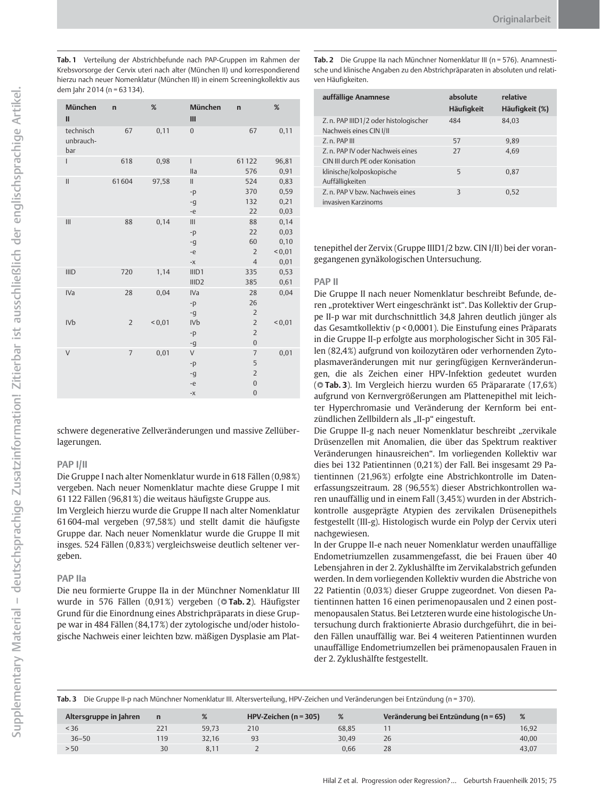Tab. 1 Verteilung der Abstrichbefunde nach PAP-Gruppen im Rahmen der Krebsvorsorge der Cervix uteri nach alter (München II) und korrespondierend hierzu nach neuer Nomenklatur (München III) in einem Screeningkollektiv aus dem Jahr 2 014 (n = 63 134).

| München<br>$\mathbf{II}$      | $\mathbf n$    | %            | München<br>Ш                         | $\mathbf n$                                                           | %                                         |
|-------------------------------|----------------|--------------|--------------------------------------|-----------------------------------------------------------------------|-------------------------------------------|
| technisch<br>unbrauch-<br>bar | 67             | 0,11         | $\overline{0}$                       | 67                                                                    | 0,11                                      |
| I                             | 618            | 0,98         | $\overline{1}$<br>lla                | 61122<br>576                                                          | 96,81<br>0,91                             |
| $\mathbf{I}$                  | 61604          | 97,58        | $\mathbf{II}$<br>$-p$<br>$-q$<br>-e  | 524<br>370<br>132<br>22                                               | 0,83<br>0,59<br>0,21<br>0,03              |
| III                           | 88             | 0,14         | III<br>$-p$<br>$-q$<br>-e<br>$-\chi$ | 88<br>22<br>60<br>$\overline{2}$<br>$\overline{4}$                    | 0,14<br>0,03<br>0,10<br>${}^{56}$<br>0,01 |
| <b>IIID</b>                   | 720            | 1,14         | III <sub>D1</sub><br>IIID2           | 335<br>385                                                            | 0,53<br>0,61                              |
| IVa                           | 28             | 0,04         | IVa<br>$-p$<br>-g                    | 28<br>26<br>$\overline{2}$                                            | 0,04                                      |
| IV <sub>b</sub>               | $\overline{2}$ | ${}^{<}0,01$ | <b>IVb</b><br>$-p$<br>$-q$           | $\overline{2}$<br>$\overline{2}$<br>$\overline{0}$                    | ${}^{<0,01}$                              |
| $\vee$                        | $\overline{7}$ | 0,01         | V<br>$-p$<br>$-q$<br>-e<br>$-X$      | $\overline{7}$<br>5<br>$\overline{c}$<br>$\mathbf{0}$<br>$\mathbf{0}$ | 0,01                                      |

schwere degenerative Zellveränderungen und massive Zellüberlagerungen.

#### PAP I/II

Die Gruppe I nach alter Nomenklatur wurde in 618 Fällen (0,98%) vergeben. Nach neuer Nomenklatur machte diese Gruppe I mit 61 122 Fällen (96,81%) die weitaus häufigste Gruppe aus.

Im Vergleich hierzu wurde die Gruppe II nach alter Nomenklatur 61 604-mal vergeben (97,58%) und stellt damit die häufigste Gruppe dar. Nach neuer Nomenklatur wurde die Gruppe II mit insges. 524 Fällen (0,83%) vergleichsweise deutlich seltener vergeben.

#### PAP IIa

Die neu formierte Gruppe IIa in der Münchner Nomenklatur III wurde in 576 Fällen (0,91%) vergeben (**©Tab.2**). Häufigster Grund für die Einordnung eines Abstrichpräparats in diese Gruppe war in 484 Fällen (84,17%) der zytologische und/oder histologische Nachweis einer leichten bzw. mäßigen Dysplasie am PlatTab. 2 Die Gruppe IIa nach Münchner Nomenklatur III (n = 576). Anamnestische und klinische Angaben zu den Abstrichpräparaten in absoluten und relativen Häufigkeiten.

| auffällige Anamnese                                                  | absolute<br><b>Häufigkeit</b> | relative<br>Häufigkeit (%) |
|----------------------------------------------------------------------|-------------------------------|----------------------------|
| Z. n. PAP IIID1/2 oder histologischer<br>Nachweis eines CIN I/II     | 484                           | 84.03                      |
| Z. n. PAP III                                                        | 57                            | 9.89                       |
| Z. n. PAP IV oder Nachweis eines<br>CIN III durch PE oder Konisation | 27                            | 4.69                       |
| klinische/kolposkopische<br>Auffälligkeiten                          | 5                             | 0.87                       |
| Z. n. PAP V bzw. Nachweis eines<br>invasiven Karzinoms               | $\overline{\mathcal{E}}$      | 0.52                       |

tenepithel der Zervix (Gruppe IIID1/2 bzw. CIN I/II) bei der vorangegangenen gynäkologischen Untersuchung.

#### PAP II

Die Gruppe II nach neuer Nomenklatur beschreibt Befunde, deren "protektiver Wert eingeschränkt ist". Das Kollektiv der Gruppe II‑p war mit durchschnittlich 34,8 Jahren deutlich jünger als das Gesamtkollektiv (p < 0,0001). Die Einstufung eines Präparats in die Gruppe II‑p erfolgte aus morphologischer Sicht in 305 Fällen (82,4%) aufgrund von koilozytären oder verhornenden Zytoplasmaveränderungen mit nur geringfügigen Kernveränderungen, die als Zeichen einer HPV-Infektion gedeutet wurden (**Tab. 3**). Im Vergleich hierzu wurden 65 Präpararate (17,6%) aufgrund von Kernvergrößerungen am Plattenepithel mit leichter Hyperchromasie und Veränderung der Kernform bei entzündlichen Zellbildern als "II-p" eingestuft.

Die Gruppe II-g nach neuer Nomenklatur beschreibt "zervikale Drüsenzellen mit Anomalien, die über das Spektrum reaktiver Veränderungen hinausreichen". Im vorliegenden Kollektiv war dies bei 132 Patientinnen (0,21%) der Fall. Bei insgesamt 29 Patientinnen (21,96%) erfolgte eine Abstrichkontrolle im Datenerfassungszeitraum. 28 (96,55%) dieser Abstrichkontrollen waren unauffällig und in einem Fall (3,45%) wurden in der Abstrichkontrolle ausgeprägte Atypien des zervikalen Drüsenepithels festgestellt (III‑g). Histologisch wurde ein Polyp der Cervix uteri nachgewiesen.

In der Gruppe II‑e nach neuer Nomenklatur werden unauffällige Endometriumzellen zusammengefasst, die bei Frauen über 40 Lebensjahren in der 2. Zyklushälfte im Zervikalabstrich gefunden werden. In dem vorliegenden Kollektiv wurden die Abstriche von 22 Patientin (0,03%) dieser Gruppe zugeordnet. Von diesen Patientinnen hatten 16 einen perimenopausalen und 2 einen postmenopausalen Status. Bei Letzteren wurde eine histologische Untersuchung durch fraktionierte Abrasio durchgeführt, die in beiden Fällen unauffällig war. Bei 4 weiteren Patientinnen wurden unauffällige Endometriumzellen bei prämenopausalen Frauen in der 2. Zyklushälfte festgestellt.

Tab. 3 Die Gruppe II-p nach Münchner Nomenklatur III. Altersverteilung, HPV-Zeichen und Veränderungen bei Entzündung (n = 370).

| Altersgruppe in Jahren | $\mathbf n$ | %     | HPV-Zeichen ( $n = 305$ ) | %     | Veränderung bei Entzündung (n = 65) | %     |
|------------------------|-------------|-------|---------------------------|-------|-------------------------------------|-------|
| ~156                   |             | 59.73 | 210                       | 68.85 |                                     | 16.92 |
| $36 - 50$              | 19          | 32.16 |                           | 30.49 | 26                                  | 40,00 |
| > 50                   | 30          | 8.1   |                           | 0.66  | 28                                  | 43.07 |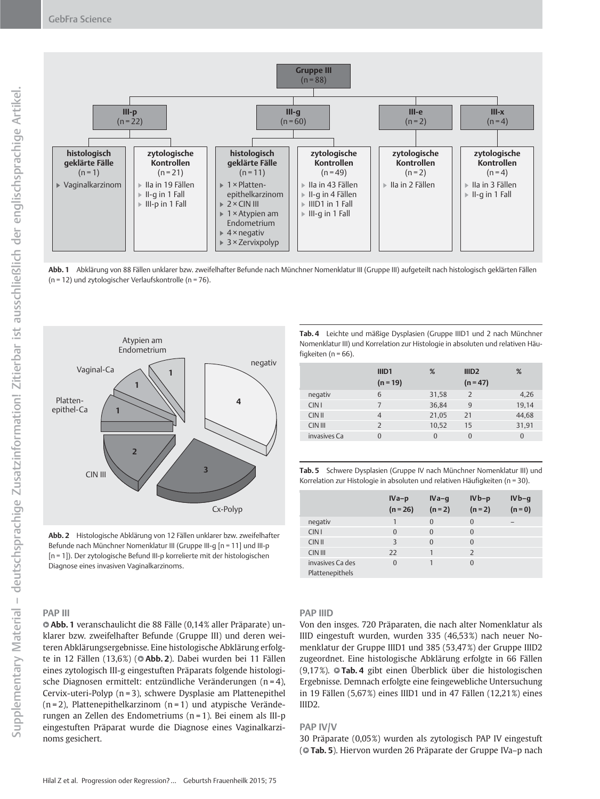

Abb. 1 Abklärung von 88 Fällen unklarer bzw. zweifelhafter Befunde nach Münchner Nomenklatur III (Gruppe III) aufgeteilt nach histologisch geklärten Fällen (n = 12) und zytologischer Verlaufskontrolle (n = 76).



Abb. 2 Histologische Abklärung von 12 Fällen unklarer bzw. zweifelhafter Befunde nach Münchner Nomenklatur III (Gruppe III-q [n = 11] und III-p [n = 1]). Der zytologische Befund III‑p korrelierte mit der histologischen Diagnose eines invasiven Vaginalkarzinoms.

#### PAP III

l " Abb. 1 veranschaulicht die 88 Fälle (0,14% aller Präparate) unklarer bzw. zweifelhafter Befunde (Gruppe III) und deren weiteren Abklärungsergebnisse. Eine histologische Abklärung erfolgte in 12 Fällen (13,6%) (**© Abb. 2**). Dabei wurden bei 11 Fällen eines zytologisch III‑g eingestuften Präparats folgende histologische Diagnosen ermittelt: entzündliche Veränderungen (n = 4), Cervix-uteri-Polyp (n = 3), schwere Dysplasie am Plattenepithel  $(n=2)$ , Plattenepithelkarzinom  $(n=1)$  und atypische Veränderungen an Zellen des Endometriums (n = 1). Bei einem als III‑p eingestuften Präparat wurde die Diagnose eines Vaginalkarzinoms gesichert.

Tab. 4 Leichte und mäßige Dysplasien (Gruppe IIID1 und 2 nach Münchner Nomenklatur III) und Korrelation zur Histologie in absoluten und relativen Häufigkeiten ( $n = 66$ ).

|                  | IIID <sub>1</sub><br>$(n = 19)$ | %     | III <sub>D2</sub><br>$(n = 47)$ | %        |
|------------------|---------------------------------|-------|---------------------------------|----------|
| negativ          | 6                               | 31,58 | $\overline{2}$                  | 4,26     |
| CIN <sub>1</sub> | 7                               | 36,84 | 9                               | 19,14    |
| $CIN$ II         | $\overline{4}$                  | 21,05 | 21                              | 44,68    |
| CIN III          | $\overline{\phantom{0}}$        | 10.52 | 15                              | 31,91    |
| invasives Ca     | $\Omega$                        | 0     | $\Omega$                        | $\Omega$ |
|                  |                                 |       |                                 |          |

| Tab. 5 Schwere Dysplasien (Gruppe IV nach Münchner Nomenklatur III) und      |
|------------------------------------------------------------------------------|
| Korrelation zur Histologie in absoluten und relativen Häufigkeiten (n = 30). |

|                                     | $IVa-p$<br>$(n = 26)$ | $IVa-q$<br>$(n = 2)$ | $IVb-p$<br>$(n = 2)$ | $IVb-q$<br>$(n = 0)$ |
|-------------------------------------|-----------------------|----------------------|----------------------|----------------------|
| negativ                             |                       | $\Omega$             | $\Omega$             | -                    |
| CIN <sub>1</sub>                    | $\Omega$              | $\Omega$             | $\Omega$             |                      |
| CIN II                              | 3                     | $\Omega$             | $\Omega$             |                      |
| CIN III                             | 22                    | 1                    | $\mathcal{P}$        |                      |
| invasives Ca des<br>Dlattonomithole | $\Omega$              |                      | $\Omega$             |                      |

Plattenepithels

#### PAP IIID

Von den insges. 720 Präparaten, die nach alter Nomenklatur als IIID eingestuft wurden, wurden 335 (46,53%) nach neuer Nomenklatur der Gruppe IIID1 und 385 (53,47%) der Gruppe IIID2 zugeordnet. Eine histologische Abklärung erfolgte in 66 Fällen (9,17%). © Tab. 4 gibt einen Überblick über die histologischen Ergebnisse. Demnach erfolgte eine feingewebliche Untersuchung in 19 Fällen (5,67%) eines IIID1 und in 47 Fällen (12,21%) eines IIID2.

#### PAP IV/V

30 Präparate (0,05%) wurden als zytologisch PAP IV eingestuft (**© Tab. 5**). Hiervon wurden 26 Präparate der Gruppe IVa–p nach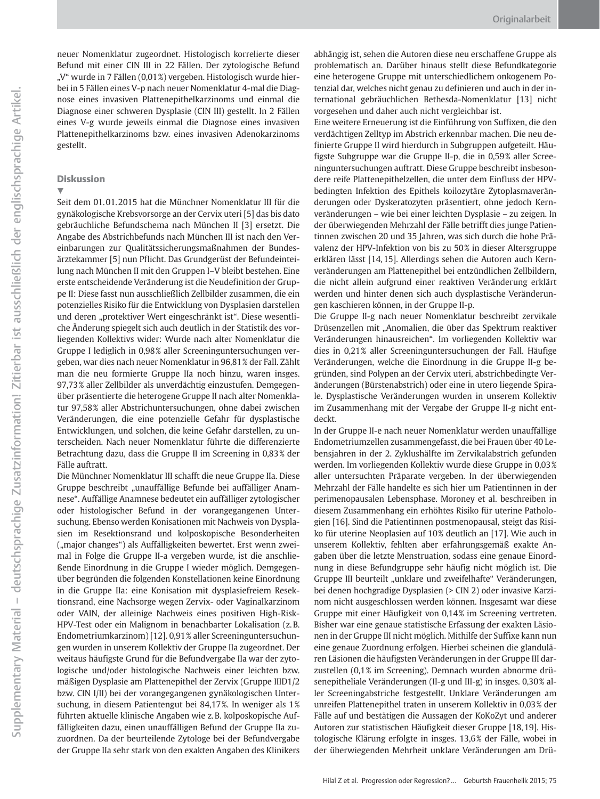neuer Nomenklatur zugeordnet. Histologisch korrelierte dieser Befund mit einer CIN III in 22 Fällen. Der zytologische Befund "V" wurde in 7 Fällen (0,01%) vergeben. Histologisch wurde hierbei in 5 Fällen eines V‑p nach neuer Nomenklatur 4-mal die Diagnose eines invasiven Plattenepithelkarzinoms und einmal die Diagnose einer schweren Dysplasie (CIN III) gestellt. In 2 Fällen eines V‑g wurde jeweils einmal die Diagnose eines invasiven Plattenepithelkarzinoms bzw. eines invasiven Adenokarzinoms gestellt.

#### Diskussion

v,

Seit dem 01. 01. 2015 hat die Münchner Nomenklatur III für die gynäkologische Krebsvorsorge an der Cervix uteri [5] das bis dato gebräuchliche Befundschema nach München II [3] ersetzt. Die Angabe des Abstrichbefunds nach München III ist nach den Vereinbarungen zur Qualitätssicherungsmaßnahmen der Bundesärztekammer [5] nun Pflicht. Das Grundgerüst der Befundeinteilung nach München II mit den Gruppen I–V bleibt bestehen. Eine erste entscheidende Veränderung ist die Neudefinition der Gruppe II: Diese fasst nun ausschließlich Zellbilder zusammen, die ein potenzielles Risiko für die Entwicklung von Dysplasien darstellen und deren "protektiver Wert eingeschränkt ist". Diese wesentliche Änderung spiegelt sich auch deutlich in der Statistik des vorliegenden Kollektivs wider: Wurde nach alter Nomenklatur die Gruppe I lediglich in 0,98% aller Screeninguntersuchungen vergeben, war dies nach neuer Nomenklatur in 96,81% der Fall. Zählt man die neu formierte Gruppe IIa noch hinzu, waren insges. 97,73% aller Zellbilder als unverdächtig einzustufen. Demgegenüber präsentierte die heterogene Gruppe II nach alter Nomenklatur 97,58% aller Abstrichuntersuchungen, ohne dabei zwischen Veränderungen, die eine potenzielle Gefahr für dysplastische Entwicklungen, und solchen, die keine Gefahr darstellen, zu unterscheiden. Nach neuer Nomenklatur führte die differenzierte Betrachtung dazu, dass die Gruppe II im Screening in 0,83% der Fälle auftratt.

Die Münchner Nomenklatur III schafft die neue Gruppe IIa. Diese Gruppe beschreibt "unauffällige Befunde bei auffälliger Anamnese". Auffällige Anamnese bedeutet ein auffälliger zytologischer oder histologischer Befund in der vorangegangenen Untersuchung. Ebenso werden Konisationen mit Nachweis von Dysplasien im Resektionsrand und kolposkopische Besonderheiten ("major changes") als Auffälligkeiten bewertet. Erst wenn zweimal in Folge die Gruppe II‑a vergeben wurde, ist die anschließende Einordnung in die Gruppe I wieder möglich. Demgegenüber begründen die folgenden Konstellationen keine Einordnung in die Gruppe IIa: eine Konisation mit dysplasiefreiem Resektionsrand, eine Nachsorge wegen Zervix- oder Vaginalkarzinom oder VAIN, der alleinige Nachweis eines positiven High-Risk-HPV-Test oder ein Malignom in benachbarter Lokalisation (z. B. Endometriumkarzinom) [12]. 0,91% aller Screeninguntersuchungen wurden in unserem Kollektiv der Gruppe IIa zugeordnet. Der weitaus häufigste Grund für die Befundvergabe IIa war der zytologische und/oder histologische Nachweis einer leichten bzw. mäßigen Dysplasie am Plattenepithel der Zervix (Gruppe IIID1/2 bzw. CIN I/II) bei der vorangegangenen gynäkologischen Untersuchung, in diesem Patientengut bei 84,17%. In weniger als 1% führten aktuelle klinische Angaben wie z. B. kolposkopische Auffälligkeiten dazu, einen unauffälligen Befund der Gruppe IIa zuzuordnen. Da der beurteilende Zytologe bei der Befundvergabe der Gruppe IIa sehr stark von den exakten Angaben des Klinikers

abhängig ist, sehen die Autoren diese neu erschaffene Gruppe als problematisch an. Darüber hinaus stellt diese Befundkategorie eine heterogene Gruppe mit unterschiedlichem onkogenem Potenzial dar, welches nicht genau zu definieren und auch in der international gebräuchlichen Bethesda-Nomenklatur [13] nicht vorgesehen und daher auch nicht vergleichbar ist.

Eine weitere Erneuerung ist die Einführung von Suffixen, die den verdächtigen Zelltyp im Abstrich erkennbar machen. Die neu definierte Gruppe II wird hierdurch in Subgruppen aufgeteilt. Häufigste Subgruppe war die Gruppe II‑p, die in 0,59% aller Screeninguntersuchungen auftratt. Diese Gruppe beschreibt insbesondere reife Plattenepithelzellen, die unter dem Einfluss der HPVbedingten Infektion des Epithels koilozytäre Zytoplasmaveränderungen oder Dyskeratozyten präsentiert, ohne jedoch Kernveränderungen – wie bei einer leichten Dysplasie – zu zeigen. In der überwiegenden Mehrzahl der Fälle betrifft dies junge Patientinnen zwischen 20 und 35 Jahren, was sich durch die hohe Prävalenz der HPV-Infektion von bis zu 50% in dieser Altersgruppe erklären lässt [14, 15]. Allerdings sehen die Autoren auch Kernveränderungen am Plattenepithel bei entzündlichen Zellbildern, die nicht allein aufgrund einer reaktiven Veränderung erklärt werden und hinter denen sich auch dysplastische Veränderungen kaschieren können, in der Gruppe II‑p.

Die Gruppe II‑g nach neuer Nomenklatur beschreibt zervikale Drüsenzellen mit "Anomalien, die über das Spektrum reaktiver Veränderungen hinausreichen". Im vorliegenden Kollektiv war dies in 0,21% aller Screeninguntersuchungen der Fall. Häufige Veränderungen, welche die Einordnung in die Gruppe II‑g begründen, sind Polypen an der Cervix uteri, abstrichbedingte Veränderungen (Bürstenabstrich) oder eine in utero liegende Spirale. Dysplastische Veränderungen wurden in unserem Kollektiv im Zusammenhang mit der Vergabe der Gruppe II‑g nicht entdeckt.

In der Gruppe II‑e nach neuer Nomenklatur werden unauffällige Endometriumzellen zusammengefasst, die bei Frauen über 40 Lebensjahren in der 2. Zyklushälfte im Zervikalabstrich gefunden werden. Im vorliegenden Kollektiv wurde diese Gruppe in 0,03% aller untersuchten Präparate vergeben. In der überwiegenden Mehrzahl der Fälle handelte es sich hier um Patientinnen in der perimenopausalen Lebensphase. Moroney et al. beschreiben in diesem Zusammenhang ein erhöhtes Risiko für uterine Pathologien [16]. Sind die Patientinnen postmenopausal, steigt das Risiko für uterine Neoplasien auf 10% deutlich an [17]. Wie auch in unserem Kollektiv, fehlten aber erfahrungsgemäß exakte Angaben über die letzte Menstruation, sodass eine genaue Einordnung in diese Befundgruppe sehr häufig nicht möglich ist. Die Gruppe III beurteilt "unklare und zweifelhafte" Veränderungen, bei denen hochgradige Dysplasien (> CIN 2) oder invasive Karzinom nicht ausgeschlossen werden können. Insgesamt war diese Gruppe mit einer Häufigkeit von 0,14% im Screening vertreten. Bisher war eine genaue statistische Erfassung der exakten Läsionen in der Gruppe III nicht möglich. Mithilfe der Suffixe kann nun eine genaue Zuordnung erfolgen. Hierbei scheinen die glandulären Läsionen die häufigsten Veränderungen in der Gruppe III darzustellen (0,1% im Screening). Demnach wurden abnorme drüsenepitheliale Veränderungen (II‑g und III‑g) in insges. 0,30% aller Screeningabstriche festgestellt. Unklare Veränderungen am unreifen Plattenepithel traten in unserem Kollektiv in 0,03% der Fälle auf und bestätigen die Aussagen der KoKoZyt und anderer Autoren zur statistischen Häufigkeit dieser Gruppe [18, 19]. Histologische Klärung erfolgte in insges. 13,6% der Fälle, wobei in der überwiegenden Mehrheit unklare Veränderungen am Drü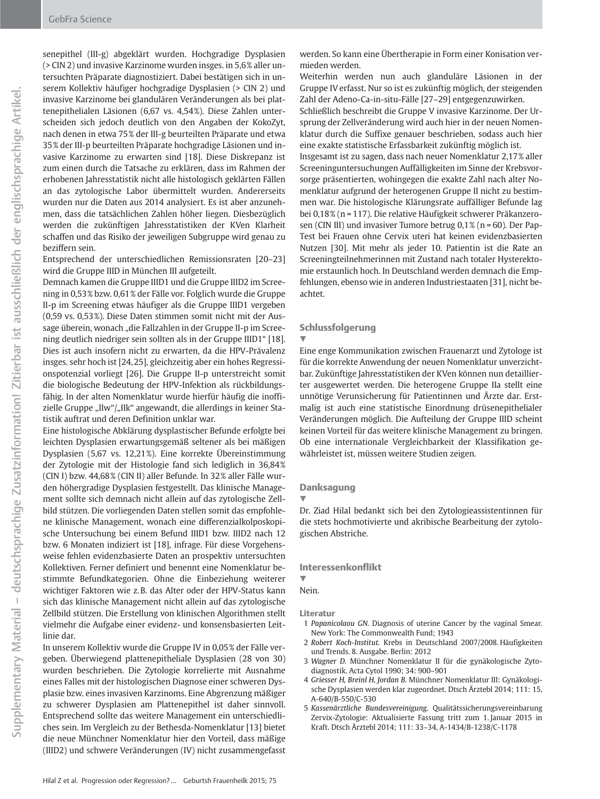senepithel (III‑g) abgeklärt wurden. Hochgradige Dysplasien (> CIN 2) und invasive Karzinome wurden insges. in 5,6% aller untersuchten Präparate diagnostiziert. Dabei bestätigen sich in unserem Kollektiv häufiger hochgradige Dysplasien (> CIN 2) und invasive Karzinome bei glandulären Veränderungen als bei plattenepithelialen Läsionen (6,67 vs. 4,54%). Diese Zahlen unterscheiden sich jedoch deutlich von den Angaben der KokoZyt, nach denen in etwa 75% der III‑g beurteilten Präparate und etwa 35% der III‑p beurteilten Präparate hochgradige Läsionen und invasive Karzinome zu erwarten sind [18]. Diese Diskrepanz ist zum einen durch die Tatsache zu erklären, dass im Rahmen der erhobenen Jahresstatistik nicht alle histologisch geklärten Fällen an das zytologische Labor übermittelt wurden. Andererseits wurden nur die Daten aus 2014 analysiert. Es ist aber anzunehmen, dass die tatsächlichen Zahlen höher liegen. Diesbezüglich werden die zukünftigen Jahresstatistiken der KVen Klarheit schaffen und das Risiko der jeweiligen Subgruppe wird genau zu beziffern sein.

Entsprechend der unterschiedlichen Remissionsraten [20–23] wird die Gruppe IIID in München III aufgeteilt.

Demnach kamen die Gruppe IIID1 und die Gruppe IIID2 im Screening in 0,53% bzw. 0,61% der Fälle vor. Folglich wurde die Gruppe II‑p im Screening etwas häufiger als die Gruppe IIID1 vergeben (0,59 vs. 0,53%). Diese Daten stimmen somit nicht mit der Aussage überein, wonach "die Fallzahlen in der Gruppe II-p im Screening deutlich niedriger sein sollten als in der Gruppe IIID1" [18]. Dies ist auch insofern nicht zu erwarten, da die HPV-Prävalenz insges. sehr hoch ist [24, 25], gleichzeitig aber ein hohes Regressionspotenzial vorliegt [26]. Die Gruppe II‑p unterstreicht somit die biologische Bedeutung der HPV-Infektion als rückbildungsfähig. In der alten Nomenklatur wurde hierfür häufig die inoffizielle Gruppe "IIw"/"IIk" angewandt, die allerdings in keiner Statistik auftrat und deren Definition unklar war.

Eine histologische Abklärung dysplastischer Befunde erfolgte bei leichten Dysplasien erwartungsgemäß seltener als bei mäßigen Dysplasien (5,67 vs. 12,21%). Eine korrekte Übereinstimmung der Zytologie mit der Histologie fand sich lediglich in 36,84% (CIN I) bzw. 44,68% (CIN II) aller Befunde. In 32% aller Fälle wurden höhergradige Dysplasien festgestellt. Das klinische Management sollte sich demnach nicht allein auf das zytologische Zellbild stützen. Die vorliegenden Daten stellen somit das empfohlene klinische Management, wonach eine differenzialkolposkopische Untersuchung bei einem Befund IIID1 bzw. IIID2 nach 12 bzw. 6 Monaten indiziert ist [18], infrage. Für diese Vorgehensweise fehlen evidenzbasierte Daten an prospektiv untersuchten Kollektiven. Ferner definiert und benennt eine Nomenklatur bestimmte Befundkategorien. Ohne die Einbeziehung weiterer wichtiger Faktoren wie z. B. das Alter oder der HPV-Status kann sich das klinische Management nicht allein auf das zytologische Zellbild stützen. Die Erstellung von klinischen Algorithmen stellt vielmehr die Aufgabe einer evidenz- und konsensbasierten Leitlinie dar.

In unserem Kollektiv wurde die Gruppe IV in 0,05% der Fälle vergeben. Überwiegend plattenepitheliale Dysplasien (28 von 30) wurden beschrieben. Die Zytologie korrelierte mit Ausnahme eines Falles mit der histologischen Diagnose einer schweren Dysplasie bzw. eines invasiven Karzinoms. Eine Abgrenzung mäßiger zu schwerer Dysplasien am Plattenepithel ist daher sinnvoll. Entsprechend sollte das weitere Management ein unterschiedliches sein. Im Vergleich zu der Bethesda-Nomenklatur [13] bietet die neue Münchner Nomenklatur hier den Vorteil, dass mäßige (IIID2) und schwere Veränderungen (IV) nicht zusammengefasst

werden. So kann eine Übertherapie in Form einer Konisation vermieden werden.

Weiterhin werden nun auch glanduläre Läsionen in der Gruppe IV erfasst. Nur so ist es zukünftig möglich, der steigenden Zahl der Adeno-Ca-in-situ-Fälle [27–29] entgegenzuwirken. Schließlich beschreibt die Gruppe V invasive Karzinome. Der Ursprung der Zellveränderung wird auch hier in der neuen Nomenklatur durch die Suffixe genauer beschrieben, sodass auch hier eine exakte statistische Erfassbarkeit zukünftig möglich ist. Insgesamt ist zu sagen, dass nach neuer Nomenklatur 2,17% aller Screeninguntersuchungen Auffälligkeiten im Sinne der Krebsvorsorge präsentierten, wohingegen die exakte Zahl nach alter Nomenklatur aufgrund der heterogenen Gruppe II nicht zu bestimmen war. Die histologische Klärungsrate auffälliger Befunde lag bei 0,18% (n = 117). Die relative Häufigkeit schwerer Präkanzerosen (CIN III) und invasiver Tumore betrug 0,1% (n = 60). Der Pap-Test bei Frauen ohne Cervix uteri hat keinen evidenzbasierten Nutzen [30]. Mit mehr als jeder 10. Patientin ist die Rate an Screeningteilnehmerinnen mit Zustand nach totaler Hysterektomie erstaunlich hoch. In Deutschland werden demnach die Empfehlungen, ebenso wie in anderen Industriestaaten [31], nicht beachtet.

#### Schlussfolgerung

### $\blacktriangledown$

Eine enge Kommunikation zwischen Frauenarzt und Zytologe ist für die korrekte Anwendung der neuen Nomenklatur unverzichtbar. Zukünftige Jahresstatistiken der KVen können nun detaillierter ausgewertet werden. Die heterogene Gruppe IIa stellt eine unnötige Verunsicherung für Patientinnen und Ärzte dar. Erstmalig ist auch eine statistische Einordnung drüsenepithelialer Veränderungen möglich. Die Aufteilung der Gruppe IIID scheint keinen Vorteil für das weitere klinische Management zu bringen. Ob eine internationale Vergleichbarkeit der Klassifikation gewährleistet ist, müssen weitere Studien zeigen.

### Danksagung

#### **V**

Dr. Ziad Hilal bedankt sich bei den Zytologieassistentinnen für die stets hochmotivierte und akribische Bearbeitung der zytologischen Abstriche.

#### Interessenkonflikt

 $\overline{\mathbf{v}}$ 

Nein.

#### Literatur

- 1 Papanicolaou GN. Diagnosis of uterine Cancer by the vaginal Smear. New York: The Commonwealth Fund; 1943
- 2 Robert Koch-Institut. Krebs in Deutschland 2007/2008. Häufigkeiten und Trends. 8. Ausgabe. Berlin: 2012
- 3 Wagner D. Münchner Nomenklatur II für die gynäkologische Zytodiagnostik. Acta Cytol 1990; 34: 900–901
- 4 Griesser H, Breinl H, Jordan B. Münchner Nomenklatur III: Gynäkologische Dysplasien werden klar zugeordnet. Dtsch Ärztebl 2014; 111: 15, A‑640/B‑550/C‑530
- 5 Kassenärztliche Bundesvereinigung. Qualitätssicherungsvereinbarung Zervix-Zytologie: Aktualisierte Fassung tritt zum 1. Januar 2015 in Kraft. Dtsch Ärztebl 2014; 111: 33–34, A-1434/B-1238/C-1178